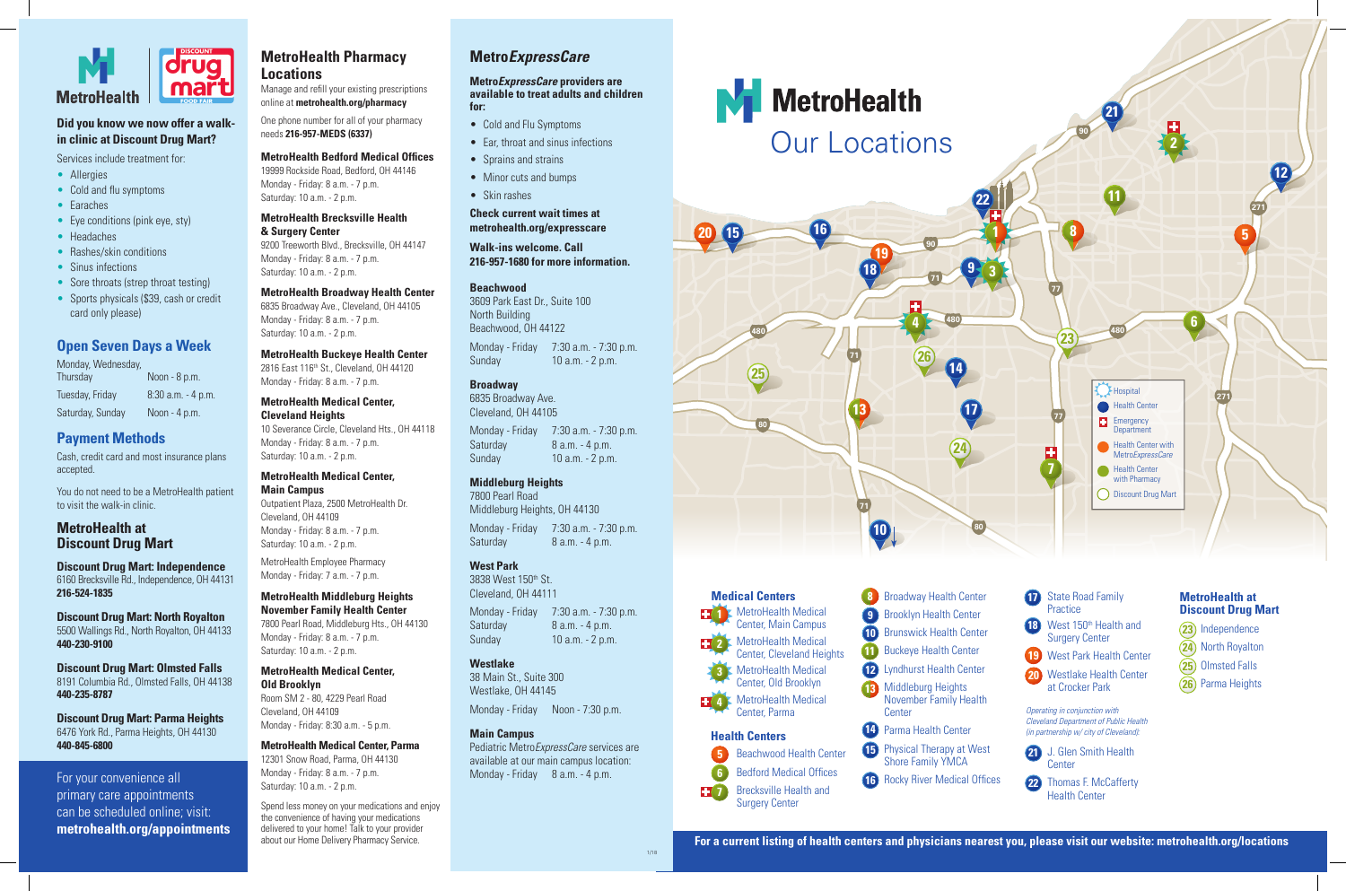- **12** Lyndhurst Health Center **10** Brunswick Health Center **9** Brooklyn Health Center **8** Broadway Health Center
- **13** Middleburg Heights November Family Health
- **15** Physical Therapy at West **14** Parma Health Center Shore Family YMCA
- **16** Rocky River Medical Offices



- **23** Independence
- (24) North Royalton
- 25) Olmsted Falls
- 26) Parma Heights



Center, Main Campus MetroHealth Medical Center, Cleveland Heights MetroHealth Medical

**4** MetroHealth Medical **3** Center, Old Brooklyn Center, Parma

- **17** State Road Family **Practice**
- **18** West 150<sup>th</sup> Health and Surgery Center
- **11** Buckeye Health Center **19** West Park Health Center (24 West Park Health Center **19**
	- Westlake Health Center **20** at Crocker Park



22 Thomas F. McCafferty **Center** 

- Cold and Flu Symptoms
- Ear, throat and sinus infections
- Sprains and strains
- Minor cuts and bumps
- Skin rashes

**7** Brecksville Health and Beachwood Health Center Bedford Medical Offices Surgery Center **5 6**

**Center** 



**2** 

7800 Pearl Road Middleburg Heights, OH 44130 Monday - Friday 7:30 a.m. - 7:30 p.m. Saturday 8 a.m. - 4 p.m.

Health Center

Pediatric Metro*ExpressCare* services are available at our main campus location: Monday - Friday 8 a.m. - 4 p.m.

#### **MetroHealth at Discount Drug Mart**

#### **Health Centers**

*Operating in conjunction with Cleveland Department of Public Health (in partnership w/ city of Cleveland):*

Monday, Wednesday, Thursday Noon - 8 p.m. Tuesday, Friday 8:30 a.m. - 4 p.m. Saturday, Sunday Noon - 4 p.m.

1/18

# **Metro***ExpressCare*

#### **Metro***ExpressCare* **providers are available to treat adults and children for:**

#### **Check current wait times at metrohealth.org/expresscare**

#### **Walk-ins welcome. Call 216-957-1680 for more information.**

#### **Beachwood**

3609 Park East Dr., Suite 100 North Building Beachwood, OH 44122

Monday - Friday 7:30 a.m. - 7:30 p.m. Sunday 10 a.m. - 2 p.m.

## **Broadway**

6835 Broadway Ave. Cleveland, OH 44105

Monday - Friday 7:30 a.m. - 7:30 p.m. Saturday 8 a.m. - 4 p.m. Sunday 10 a.m. - 2 p.m.

## **Middleburg Heights**

#### **West Park**

3838 West 150th St. Cleveland, OH 44111

Monday - Friday 7:30 a.m. - 7:30 p.m. Saturday 8 a.m. - 4 p.m. Sunday 10 a.m. - 2 p.m.

#### **Westlake**

38 Main St., Suite 300 Westlake, OH 44145

Monday - Friday Noon - 7:30 p.m.

#### **Main Campus**



## **Did you know we now offer a walkin clinic at Discount Drug Mart?**

Services include treatment for:

- Allergies
- Cold and flu symptoms
- Earaches
- Eye conditions (pink eye, sty)
- Headaches
- Rashes/skin conditions
- Sinus infections
- Sore throats (strep throat testing)
- Sports physicals (\$39, cash or credit card only please)

#### **Open Seven Days a Week**

## **Payment Methods**

Cash, credit card and most insurance plans accepted.

You do not need to be a MetroHealth patient to visit the walk-in clinic.

## **MetroHealth at Discount Drug Mart**

**Discount Drug Mart: Independence** 6160 Brecksville Rd., Independence, OH 44131 **216-524-1835**

**Discount Drug Mart: North Royalton** 5500 Wallings Rd., North Royalton, OH 44133 **440-230-9100**

**Discount Drug Mart: Olmsted Falls** 8191 Columbia Rd., Olmsted Falls, OH 44138 **440-235-8787**

**Discount Drug Mart: Parma Heights**  6476 York Rd., Parma Heights, OH 44130 **440-845-6800**

## **MetroHealth Pharmacy Locations**

Manage and refill your existing prescriptions online at **metrohealth.org/pharmacy**

One phone number for all of your pharmacy needs **216-957-MEDS (6337)**

#### **MetroHealth Bedford Medical Offices**

19999 Rockside Road, Bedford, OH 44146 Monday - Friday: 8 a.m. - 7 p.m. Saturday: 10 a.m. - 2 p.m.

#### **MetroHealth Brecksville Health & Surgery Center**

9200 Treeworth Blvd., Brecksville, OH 44147 Monday - Friday: 8 a.m. - 7 p.m. Saturday: 10 a.m. - 2 p.m.

#### **MetroHealth Broadway Health Center**

6835 Broadway Ave., Cleveland, OH 44105 Monday - Friday: 8 a.m. - 7 p.m. Saturday: 10 a.m. - 2 p.m.

**MetroHealth Buckeye Health Center** 2816 East 116<sup>th</sup> St., Cleveland, OH 44120 Monday - Friday: 8 a.m. - 7 p.m.

## **MetroHealth Medical Center,**

**Cleveland Heights**  10 Severance Circle, Cleveland Hts., OH 44118 Monday - Friday: 8 a.m. - 7 p.m. Saturday: 10 a.m. - 2 p.m.

#### **MetroHealth Medical Center, Main Campus**

Outpatient Plaza, 2500 MetroHealth Dr. Cleveland, OH 44109 Monday - Friday: 8 a.m. - 7 p.m. Saturday: 10 a.m. - 2 p.m.

MetroHealth Employee Pharmacy Monday - Friday: 7 a.m. - 7 p.m.

#### **MetroHealth Middleburg Heights**

**November Family Health Center** 7800 Pearl Road, Middleburg Hts., OH 44130 Monday - Friday: 8 a.m. - 7 p.m. Saturday: 10 a.m. - 2 p.m.

#### **MetroHealth Medical Center,**

**Old Brooklyn** Room SM 2 - 80, 4229 Pearl Road Cleveland, OH 44109 Monday - Friday: 8:30 a.m. - 5 p.m.

#### **MetroHealth Medical Center, Parma**

12301 Snow Road, Parma, OH 44130 Monday - Friday: 8 a.m. - 7 p.m. Saturday: 10 a.m. - 2 p.m.

Spend less money on your medications and enjoy the convenience of having your medications delivered to your home! Talk to your provider about our Home Delivery Pharmacy Service.

For your convenience all primary care appointments can be scheduled online; visit: **metrohealth.org/appointments**